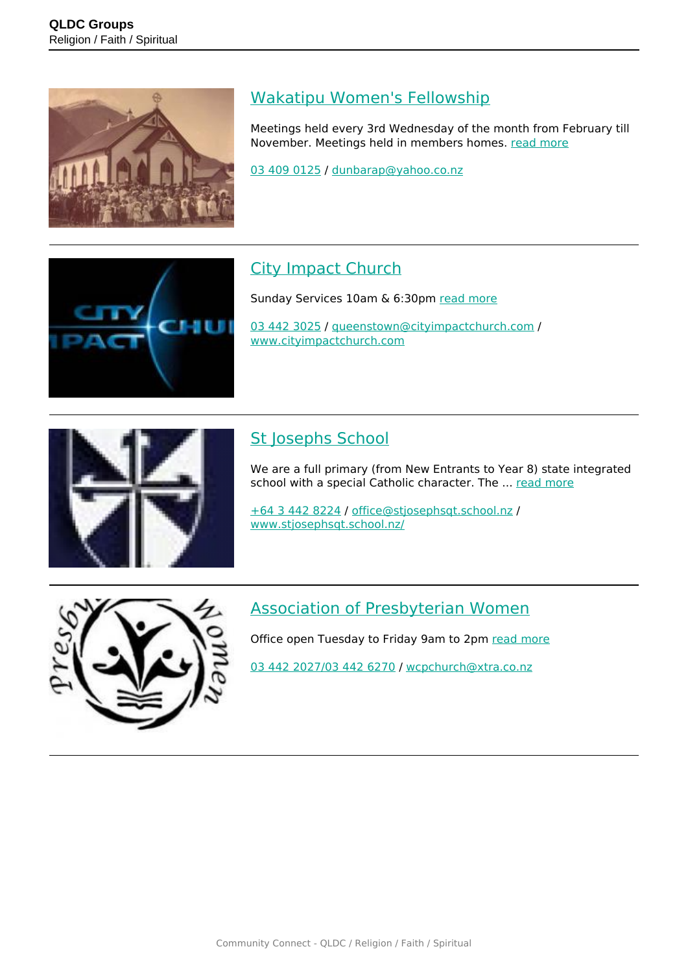

#### [Wakatipu Women's Fellowship](https://groups.qldc.govt.nz/groups/show/wakatipu-womens-fellowship/)

Meetings held every 3rd Wednesday of the month from February till November. Meetings held in members homes. [read more](https://groups.qldc.govt.nz/groups/show/wakatipu-womens-fellowship/)

[03 409 0125](tel:034090125) / [dunbarap@yahoo.co.nz](mailto:dunbarap@yahoo.co.nz)

#### [City Impact Church](https://groups.qldc.govt.nz/groups/show/city-impact-church/)

Sunday Services 10am & 6:30pm [read more](https://groups.qldc.govt.nz/groups/show/city-impact-church/)

[03 442 3025](tel:034423025) / [queenstown@cityimpactchurch.com](mailto:queenstown@cityimpactchurch.com) / [www.cityimpactchurch.com](http://www.cityimpactchurch.com)



#### [St Josephs School](https://groups.qldc.govt.nz/groups/show/st-josephs-school/)

We are a full primary (from New Entrants to Year 8) state integrated school with a special Catholic character. The ... [read more](https://groups.qldc.govt.nz/groups/show/st-josephs-school/)

[+64 3 442 8224](tel:+6434428224) / [office@stjosephsqt.school.nz](mailto:office@stjosephsqt.school.nz) / [www.stjosephsqt.school.nz/](http://www.stjosephsqt.school.nz/)



#### [Association of Presbyterian Women](https://groups.qldc.govt.nz/groups/show/association-of-presbyterian-women/)

Office open Tuesday to Friday 9am to 2pm [read more](https://groups.qldc.govt.nz/groups/show/association-of-presbyterian-women/)

[03 442 2027/03 442 6270](tel:034422027034426270) / [wcpchurch@xtra.co.nz](mailto:wcpchurch@xtra.co.nz)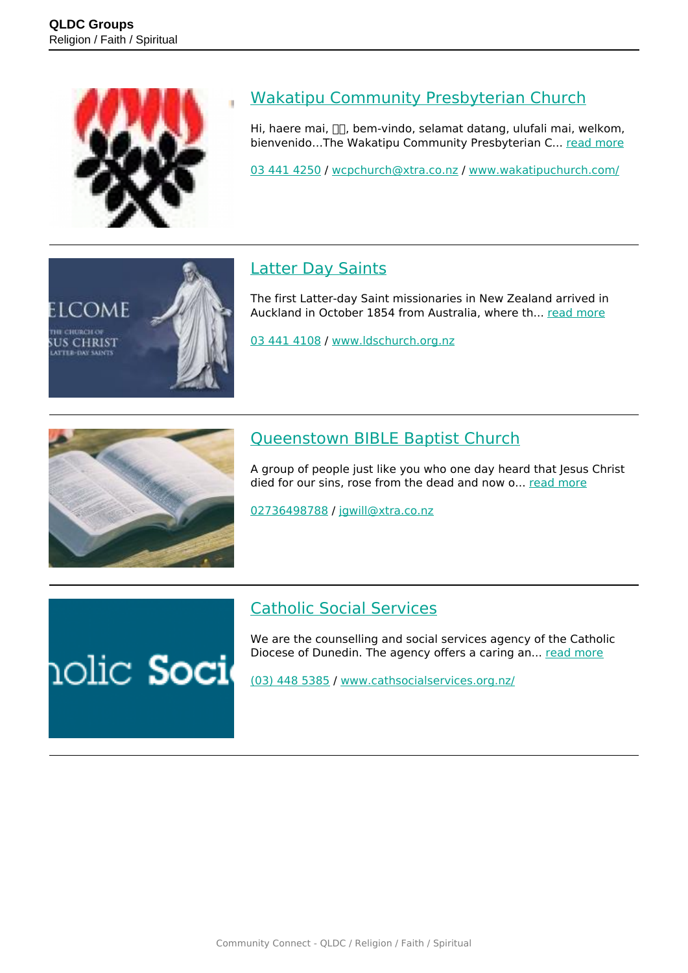

tome

снивси о **SUS CHRIST** 

#### [Wakatipu Community Presbyterian Church](https://groups.qldc.govt.nz/groups/show/wakatipu-community-presbyterian-church/)

Hi, haere mai,  $\Box$ , bem-vindo, selamat datang, ulufali mai, welkom, bienvenido…The Wakatipu Community Presbyterian C... [read more](https://groups.qldc.govt.nz/groups/show/wakatipu-community-presbyterian-church/)

[03 441 4250](tel:034414250) / [wcpchurch@xtra.co.nz](mailto:wcpchurch@xtra.co.nz) / [www.wakatipuchurch.com/](http://www.wakatipuchurch.com/)

#### [Latter Day Saints](https://groups.qldc.govt.nz/groups/show/latter-day-saints/)

The first Latter-day Saint missionaries in New Zealand arrived in Auckland in October 1854 from Australia, where th... [read more](https://groups.qldc.govt.nz/groups/show/latter-day-saints/)

[03 441 4108](tel:034414108) / [www.ldschurch.org.nz](http://www.ldschurch.org.nz)



#### [Queenstown BIBLE Baptist Church](https://groups.qldc.govt.nz/groups/show/queenstown-bible-baptist-church/)

A group of people just like you who one day heard that Jesus Christ died for our sins, rose from the dead and now o... [read more](https://groups.qldc.govt.nz/groups/show/queenstown-bible-baptist-church/)

[02736498788](tel:02736498788) / [jgwill@xtra.co.nz](mailto:jgwill@xtra.co.nz)

## nolic **Soci**

[Catholic Social Services](https://groups.qldc.govt.nz/groups/show/catholic-social-services/)

We are the counselling and social services agency of the Catholic Diocese of Dunedin. The agency offers a caring an... [read more](https://groups.qldc.govt.nz/groups/show/catholic-social-services/)

[\(03\) 448 5385](tel:034485385) / [www.cathsocialservices.org.nz/](http://www.cathsocialservices.org.nz/)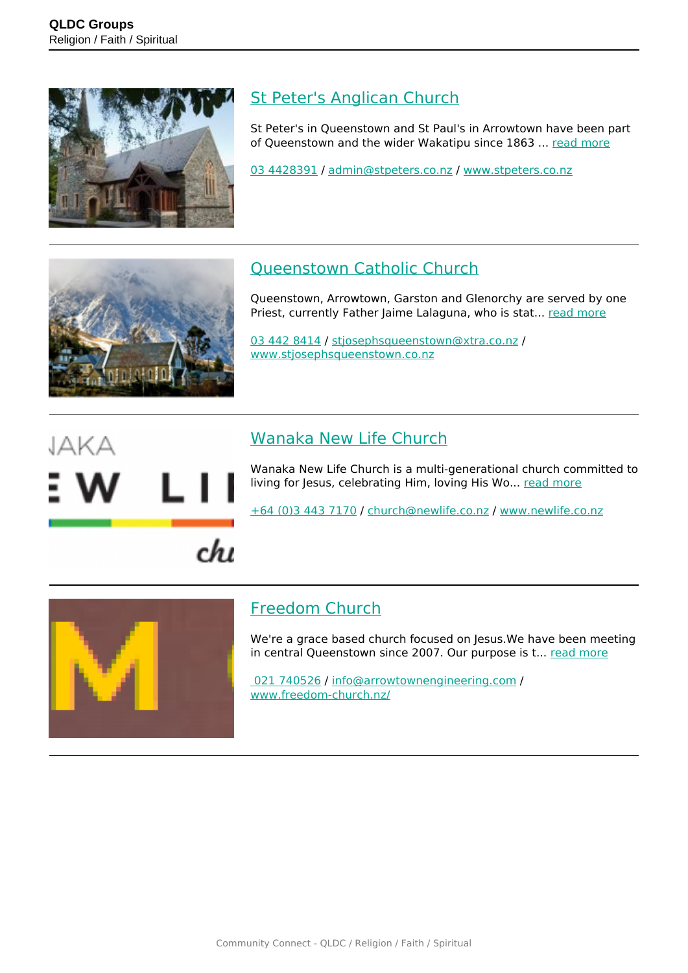

#### [St Peter's Anglican Church](https://groups.qldc.govt.nz/groups/show/st-peters-anglican-church/)

St Peter's in Queenstown and St Paul's in Arrowtown have been part of Queenstown and the wider Wakatipu since 1863 ... [read more](https://groups.qldc.govt.nz/groups/show/st-peters-anglican-church/)

[03 4428391](tel:034428391) / [admin@stpeters.co.nz](mailto:admin@stpeters.co.nz) / [www.stpeters.co.nz](http://www.stpeters.co.nz)



#### [Queenstown Catholic Church](https://groups.qldc.govt.nz/groups/show/queenstown-catholic-church/)

Queenstown, Arrowtown, Garston and Glenorchy are served by one Priest, currently Father Jaime Lalaguna, who is stat... [read more](https://groups.qldc.govt.nz/groups/show/queenstown-catholic-church/)

[03 442 8414](tel:034428414) / [stjosephsqueenstown@xtra.co.nz](mailto:stjosephsqueenstown@xtra.co.nz) / [www.stjosephsqueenstown.co.nz](http://www.stjosephsqueenstown.co.nz)

## JAKA

 $chu$ 

#### [Wanaka New Life Church](https://groups.qldc.govt.nz/groups/show/wanaka-new-life-church/)

Wanaka New Life Church is a multi-generational church committed to living for Jesus, celebrating Him, loving His Wo... [read more](https://groups.qldc.govt.nz/groups/show/wanaka-new-life-church/)

[+64 \(0\)3 443 7170](tel:+64034437170) / [church@newlife.co.nz](mailto:church@newlife.co.nz) / [www.newlife.co.nz](http://www.newlife.co.nz)



#### [Freedom Church](https://groups.qldc.govt.nz/groups/show/freedom-church/)

We're a grace based church focused on Jesus. We have been meeting in central Queenstown since 2007. Our purpose is t... [read more](https://groups.qldc.govt.nz/groups/show/freedom-church/)

 [021 740526](tel:021740526) / [info@arrowtownengineering.com](mailto:info@arrowtownengineering.com) / [www.freedom-church.nz/](https://www.freedom-church.nz/)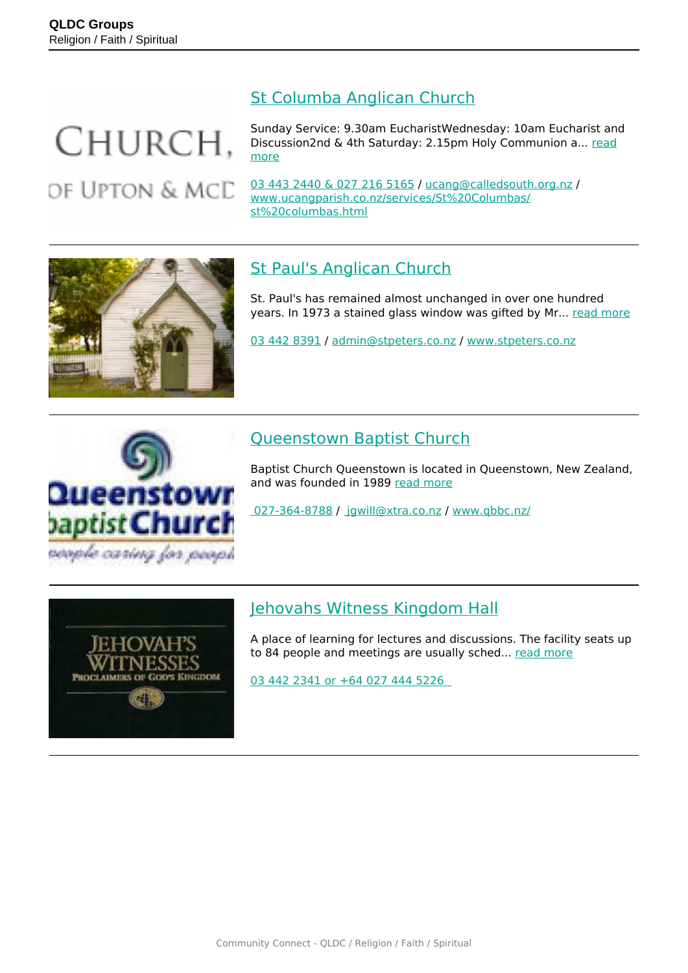### CHURCH. OF UPTON & MCD

[St Columba Anglican Church](https://groups.qldc.govt.nz/groups/show/st-columba-anglican-church/)

Sunday Service: 9.30am EucharistWednesday: 10am Eucharist and Discussion2nd & 4th Saturday: 2.15pm Holy Communion a... [read](https://groups.qldc.govt.nz/groups/show/st-columba-anglican-church/) [more](https://groups.qldc.govt.nz/groups/show/st-columba-anglican-church/)

[03 443 2440 & 027 216 5165](tel:0344324400272165165) / [ucang@calledsouth.org.nz](mailto:ucang@calledsouth.org.nz) / [www.ucangparish.co.nz/services/St%20Columbas/](http://www.ucangparish.co.nz/services/St%20Columbas/st%20columbas.html) [st%20columbas.html](http://www.ucangparish.co.nz/services/St%20Columbas/st%20columbas.html)



### [St Paul's Anglican Church](https://groups.qldc.govt.nz/groups/show/st-pauls-anglican-church/)

St. Paul's has remained almost unchanged in over one hundred years. In 1973 a stained glass window was gifted by Mr... [read more](https://groups.qldc.govt.nz/groups/show/st-pauls-anglican-church/)

[03 442 8391](tel:034428391) / [admin@stpeters.co.nz](mailto:admin@stpeters.co.nz) / [www.stpeters.co.nz](http://www.stpeters.co.nz)



#### [Queenstown Baptist Church](https://groups.qldc.govt.nz/groups/show/queenstown-baptist-church/)

Baptist Church Queenstown is located in Queenstown, New Zealand, and was founded in 1989 [read more](https://groups.qldc.govt.nz/groups/show/queenstown-baptist-church/)

 [027-364-8788](tel:0273648788) / [jgwill@xtra.co.nz](mailto: jgwill@xtra.co.nz) / [www.qbbc.nz/](https://www.qbbc.nz/)



#### [Jehovahs Witness Kingdom Hall](https://groups.qldc.govt.nz/groups/show/jehovahs-witness-kingdom-hall/)

A place of learning for lectures and discussions. The facility seats up to 84 people and meetings are usually sched... [read more](https://groups.qldc.govt.nz/groups/show/jehovahs-witness-kingdom-hall/)

[03 442 2341 or +64 027 444 5226](tel:034422341)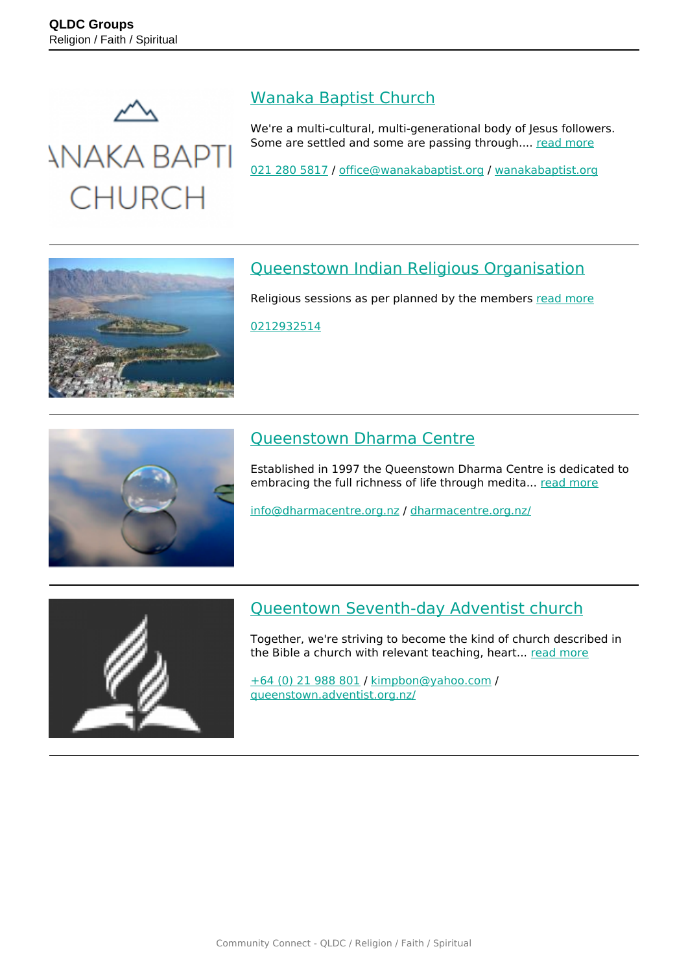

*INAKA BAPTI* 

**CHURCH** 

### [Wanaka Baptist Church](https://groups.qldc.govt.nz/groups/show/wanaka-baptist-church/)

We're a multi-cultural, multi-generational body of Jesus followers. Some are settled and some are passing through.... [read more](https://groups.qldc.govt.nz/groups/show/wanaka-baptist-church/)

[021 280 5817](tel:0212805817) / [office@wanakabaptist.org](mailto:office@wanakabaptist.org) / [wanakabaptist.org](http://wanakabaptist.org)



#### [Queenstown Indian Religious Organisation](https://groups.qldc.govt.nz/groups/show/queenstown-indian-religious-organisation/)

Religious sessions as per planned by the members [read more](https://groups.qldc.govt.nz/groups/show/queenstown-indian-religious-organisation/)

[0212932514](tel:0212932514)



#### [Queenstown Dharma Centre](https://groups.qldc.govt.nz/groups/show/queenstown-dharma-centre/)

Established in 1997 the Queenstown Dharma Centre is dedicated to embracing the full richness of life through medita... [read more](https://groups.qldc.govt.nz/groups/show/queenstown-dharma-centre/)

[info@dharmacentre.org.nz](mailto:info@dharmacentre.org.nz) / [dharmacentre.org.nz/](http://dharmacentre.org.nz/)



#### [Queentown Seventh-day Adventist church](https://groups.qldc.govt.nz/groups/show/queentown-seventh-day-adventist-church/)

Together, we're striving to become the kind of church described in the Bible a church with relevant teaching, heart... [read more](https://groups.qldc.govt.nz/groups/show/queentown-seventh-day-adventist-church/)

[+64 \(0\) 21 988 801](tel:+64021988801) / [kimpbon@yahoo.com](mailto:kimpbon@yahoo.com) / [queenstown.adventist.org.nz/](http://queenstown.adventist.org.nz/)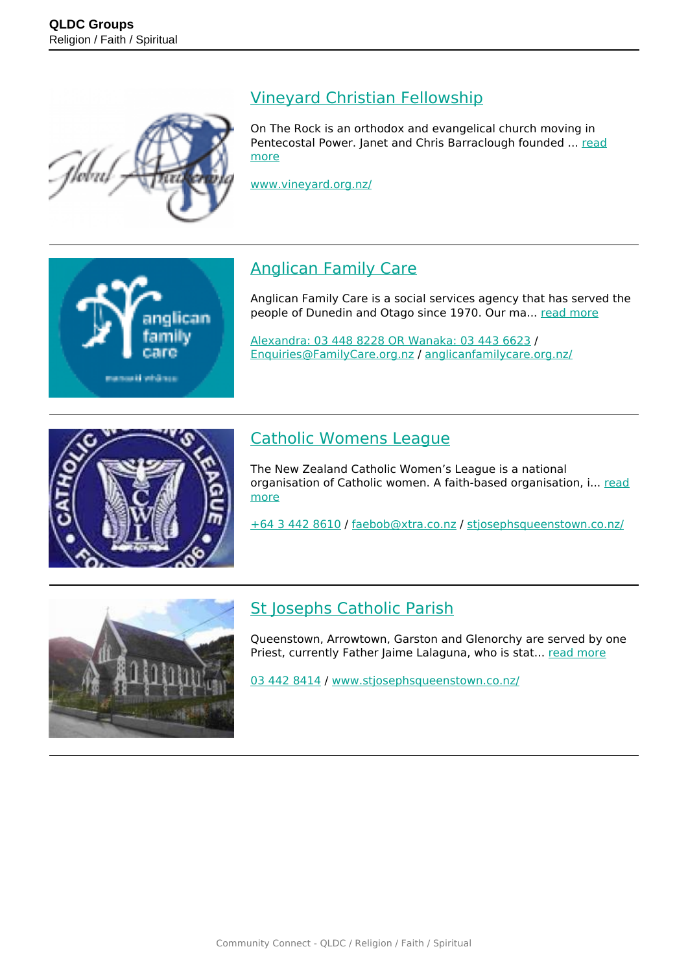

#### [Vineyard Christian Fellowship](https://groups.qldc.govt.nz/groups/show/vineyard-christian-fellowship/)

On The Rock is an orthodox and evangelical church moving in Pentecostal Power. Janet and Chris Barraclough founded ... [read](https://groups.qldc.govt.nz/groups/show/vineyard-christian-fellowship/) [more](https://groups.qldc.govt.nz/groups/show/vineyard-christian-fellowship/)

[www.vineyard.org.nz/](http://www.vineyard.org.nz/)

# nglican samuaki wisikasa

#### [Anglican Family Care](https://groups.qldc.govt.nz/groups/show/anglican-family-care/)

Anglican Family Care is a social services agency that has served the people of Dunedin and Otago since 1970. Our ma... [read more](https://groups.qldc.govt.nz/groups/show/anglican-family-care/)

[Alexandra: 03 448 8228 OR Wanaka: 03 443 6623](tel:034488228034436623) / [Enquiries@FamilyCare.org.nz](mailto:Enquiries@FamilyCare.org.nz) / [anglicanfamilycare.org.nz/](https://anglicanfamilycare.org.nz/)



#### [Catholic Womens League](https://groups.qldc.govt.nz/groups/show/catholic-womens-league/)

The New Zealand Catholic Women's League is a national organisation of Catholic women. A faith-based organisation, i... [read](https://groups.qldc.govt.nz/groups/show/catholic-womens-league/) [more](https://groups.qldc.govt.nz/groups/show/catholic-womens-league/)

[+64 3 442 8610](tel:+6434428610) / [faebob@xtra.co.nz](mailto:faebob@xtra.co.nz) / [stjosephsqueenstown.co.nz/](https://stjosephsqueenstown.co.nz/)



#### **[St Josephs Catholic Parish](https://groups.qldc.govt.nz/groups/show/st-josephs-catholic-parish/)**

Queenstown, Arrowtown, Garston and Glenorchy are served by one Priest, currently Father Jaime Lalaguna, who is stat... [read more](https://groups.qldc.govt.nz/groups/show/st-josephs-catholic-parish/)

[03 442 8414](tel:034428414) / [www.stjosephsqueenstown.co.nz/](http://www.stjosephsqueenstown.co.nz/)